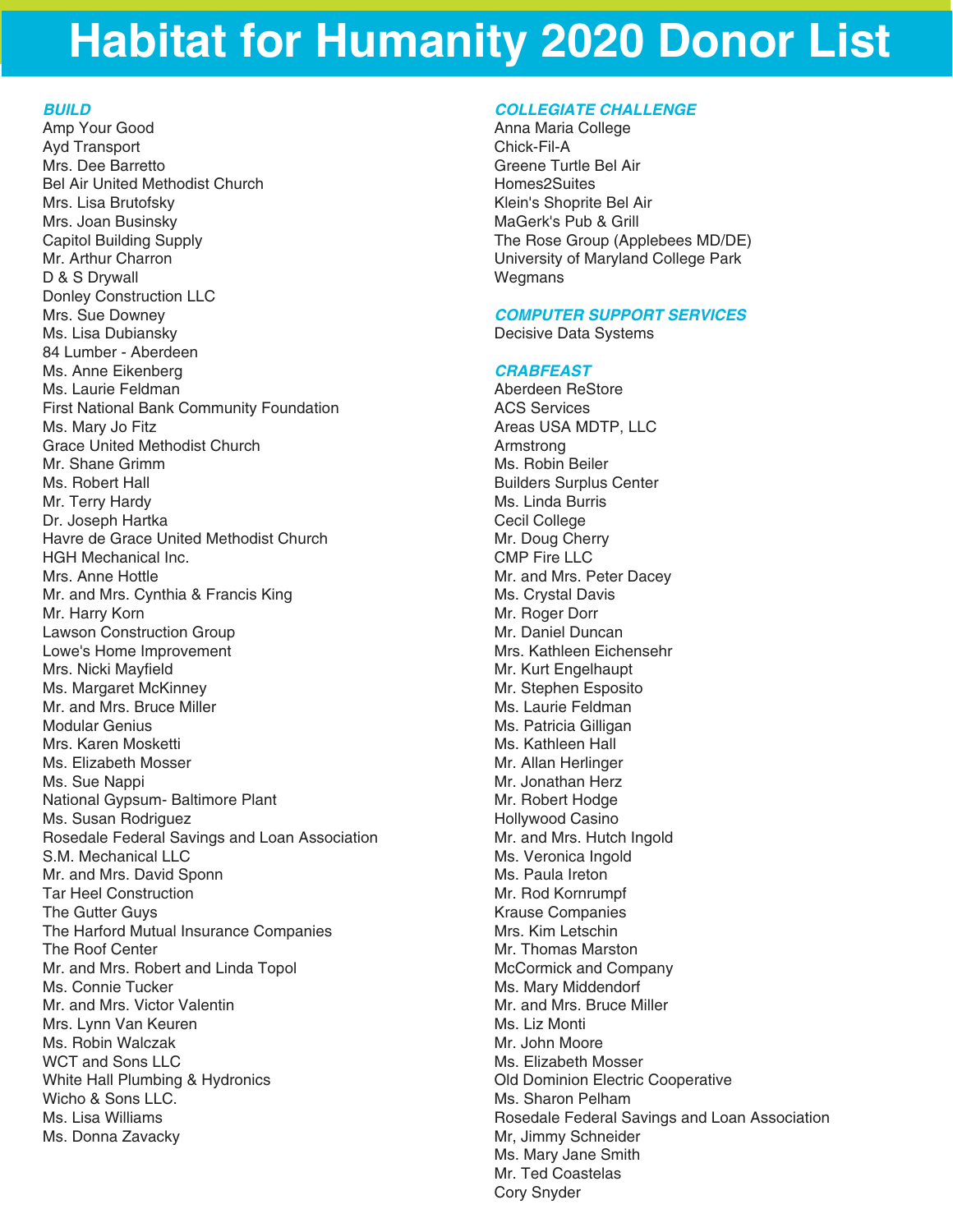### *BUILD*

Amp Your Good Ayd Transport Mrs. Dee Barretto Bel Air United Methodist Church Mrs. Lisa Brutofsky Mrs. Joan Businsky Capitol Building Supply Mr. Arthur Charron D & S Drywall Donley Construction LLC Mrs. Sue Downey Ms. Lisa Dubiansky 84 Lumber - Aberdeen Ms. Anne Eikenberg Ms. Laurie Feldman First National Bank Community Foundation Ms. Mary Jo Fitz Grace United Methodist Church Mr. Shane Grimm Ms. Robert Hall Mr. Terry Hardy Dr. Joseph Hartka Havre de Grace United Methodist Church HGH Mechanical Inc. Mrs. Anne Hottle Mr. and Mrs. Cynthia & Francis King Mr. Harry Korn Lawson Construction Group Lowe's Home Improvement Mrs. Nicki Mayfield Ms. Margaret McKinney Mr. and Mrs. Bruce Miller Modular Genius Mrs. Karen Mosketti Ms. Elizabeth Mosser Ms. Sue Nappi National Gypsum- Baltimore Plant Ms. Susan Rodriguez Rosedale Federal Savings and Loan Association S.M. Mechanical LLC Mr. and Mrs. David Sponn Tar Heel Construction The Gutter Guys The Harford Mutual Insurance Companies The Roof Center Mr. and Mrs. Robert and Linda Topol Ms. Connie Tucker Mr. and Mrs. Victor Valentin Mrs. Lynn Van Keuren Ms. Robin Walczak WCT and Sons LLC White Hall Plumbing & Hydronics Wicho & Sons LLC. Ms. Lisa Williams Ms. Donna Zavacky

### *COLLEGIATE CHALLENGE*

Anna Maria College Chick-Fil-A Greene Turtle Bel Air Homes2Suites Klein's Shoprite Bel Air MaGerk's Pub & Grill The Rose Group (Applebees MD/DE) University of Maryland College Park **Wegmans** 

## *COMPUTER SUPPORT SERVICES*

Decisive Data Systems

## *CRABFEAST*

Aberdeen ReStore ACS Services Areas USA MDTP, LLC Armstrong Ms. Robin Beiler Builders Surplus Center Ms. Linda Burris Cecil College Mr. Doug Cherry CMP Fire LLC Mr. and Mrs. Peter Dacey Ms. Crystal Davis Mr. Roger Dorr Mr. Daniel Duncan Mrs. Kathleen Eichensehr Mr. Kurt Engelhaupt Mr. Stephen Esposito Ms. Laurie Feldman Ms. Patricia Gilligan Ms. Kathleen Hall Mr. Allan Herlinger Mr. Jonathan Herz Mr. Robert Hodge Hollywood Casino Mr. and Mrs. Hutch Ingold Ms. Veronica Ingold Ms. Paula Ireton Mr. Rod Kornrumpf Krause Companies Mrs. Kim Letschin Mr. Thomas Marston McCormick and Company Ms. Mary Middendorf Mr. and Mrs. Bruce Miller Ms. Liz Monti Mr. John Moore Ms. Elizabeth Mosser Old Dominion Electric Cooperative Ms. Sharon Pelham Rosedale Federal Savings and Loan Association Mr, Jimmy Schneider Ms. Mary Jane Smith Mr. Ted Coastelas Cory Snyder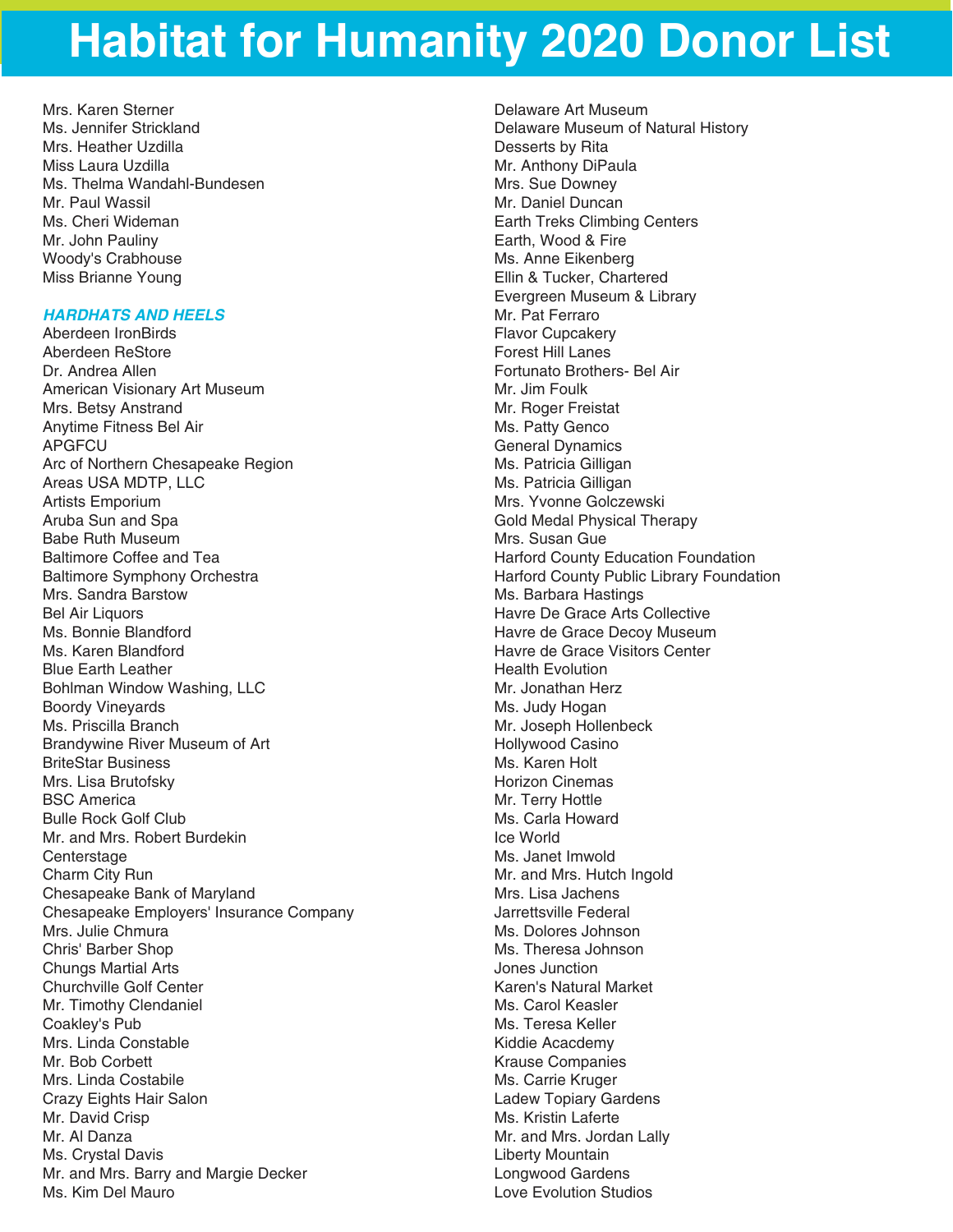Mrs. Karen Sterner Ms. Jennifer Strickland Mrs. Heather Uzdilla Miss Laura Uzdilla Ms. Thelma Wandahl-Bundesen Mr. Paul Wassil Ms. Cheri Wideman Mr. John Pauliny Woody's Crabhouse Miss Brianne Young

### *HARDHATS AND HEELS*

Aberdeen IronBirds Aberdeen ReStore Dr. Andrea Allen American Visionary Art Museum Mrs. Betsy Anstrand Anytime Fitness Bel Air APGFCU Arc of Northern Chesapeake Region Areas USA MDTP, LLC Artists Emporium Aruba Sun and Spa Babe Ruth Museum Baltimore Coffee and Tea Baltimore Symphony Orchestra Mrs. Sandra Barstow Bel Air Liquors Ms. Bonnie Blandford Ms. Karen Blandford Blue Earth Leather Bohlman Window Washing, LLC Boordy Vineyards Ms. Priscilla Branch Brandywine River Museum of Art BriteStar Business Mrs. Lisa Brutofsky BSC America Bulle Rock Golf Club Mr. and Mrs. Robert Burdekin **Centerstage** Charm City Run Chesapeake Bank of Maryland Chesapeake Employers' Insurance Company Mrs. Julie Chmura Chris' Barber Shop Chungs Martial Arts Churchville Golf Center Mr. Timothy Clendaniel Coakley's Pub Mrs. Linda Constable Mr. Bob Corbett Mrs. Linda Costabile Crazy Eights Hair Salon Mr. David Crisp Mr. Al Danza Ms. Crystal Davis Mr. and Mrs. Barry and Margie Decker Ms. Kim Del Mauro

Delaware Art Museum Delaware Museum of Natural History Desserts by Rita Mr. Anthony DiPaula Mrs. Sue Downey Mr. Daniel Duncan Earth Treks Climbing Centers Earth, Wood & Fire Ms. Anne Eikenberg Ellin & Tucker, Chartered Evergreen Museum & Library Mr. Pat Ferraro Flavor Cupcakery Forest Hill Lanes Fortunato Brothers- Bel Air Mr. Jim Foulk Mr. Roger Freistat Ms. Patty Genco General Dynamics Ms. Patricia Gilligan Ms. Patricia Gilligan Mrs. Yvonne Golczewski Gold Medal Physical Therapy Mrs. Susan Gue Harford County Education Foundation Harford County Public Library Foundation Ms. Barbara Hastings Havre De Grace Arts Collective Havre de Grace Decoy Museum Havre de Grace Visitors Center Health Evolution Mr. Jonathan Herz Ms. Judy Hogan Mr. Joseph Hollenbeck Hollywood Casino Ms. Karen Holt Horizon Cinemas Mr. Terry Hottle Ms. Carla Howard Ice World Ms. Janet Imwold Mr. and Mrs. Hutch Ingold Mrs. Lisa Jachens Jarrettsville Federal Ms. Dolores Johnson Ms. Theresa Johnson Jones Junction Karen's Natural Market Ms. Carol Keasler Ms. Teresa Keller Kiddie Acacdemy Krause Companies Ms. Carrie Kruger Ladew Topiary Gardens Ms. Kristin Laferte Mr. and Mrs. Jordan Lally Liberty Mountain Longwood Gardens Love Evolution Studios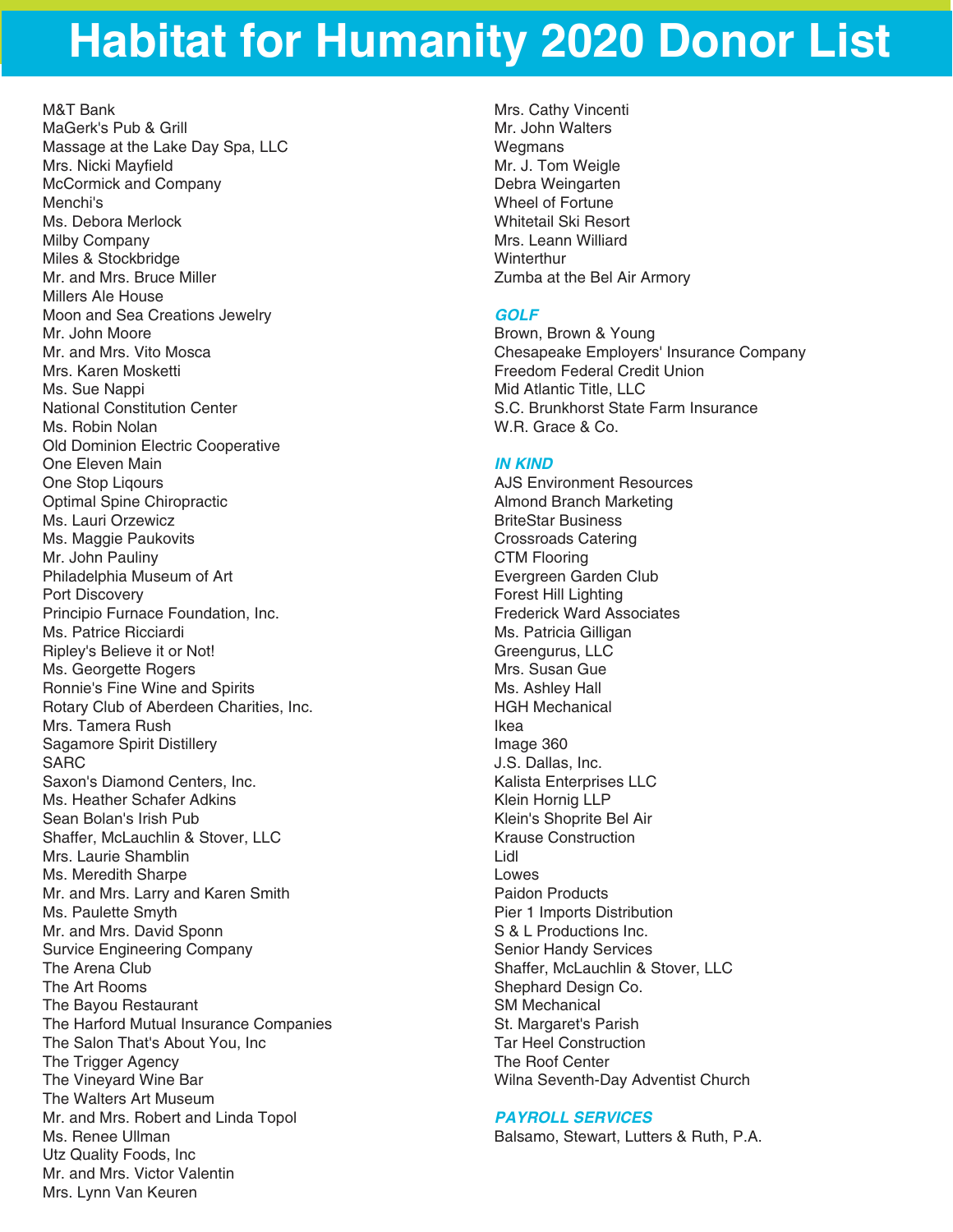M&T Bank MaGerk's Pub & Grill Massage at the Lake Day Spa, LLC Mrs. Nicki Mayfield McCormick and Company Menchi's Ms. Debora Merlock Milby Company Miles & Stockbridge Mr. and Mrs. Bruce Miller Millers Ale House Moon and Sea Creations Jewelry Mr. John Moore Mr. and Mrs. Vito Mosca Mrs. Karen Mosketti Ms. Sue Nappi National Constitution Center Ms. Robin Nolan Old Dominion Electric Cooperative One Eleven Main One Stop Liqours Optimal Spine Chiropractic Ms. Lauri Orzewicz Ms. Maggie Paukovits Mr. John Pauliny Philadelphia Museum of Art Port Discovery Principio Furnace Foundation, Inc. Ms. Patrice Ricciardi Ripley's Believe it or Not! Ms. Georgette Rogers Ronnie's Fine Wine and Spirits Rotary Club of Aberdeen Charities, Inc. Mrs. Tamera Rush Sagamore Spirit Distillery SARC Saxon's Diamond Centers, Inc. Ms. Heather Schafer Adkins Sean Bolan's Irish Pub Shaffer, McLauchlin & Stover, LLC Mrs. Laurie Shamblin Ms. Meredith Sharpe Mr. and Mrs. Larry and Karen Smith Ms. Paulette Smyth Mr. and Mrs. David Sponn Survice Engineering Company The Arena Club The Art Rooms The Bayou Restaurant The Harford Mutual Insurance Companies The Salon That's About You, Inc The Trigger Agency The Vineyard Wine Bar The Walters Art Museum Mr. and Mrs. Robert and Linda Topol Ms. Renee Ullman Utz Quality Foods, Inc Mr. and Mrs. Victor Valentin Mrs. Lynn Van Keuren

Mrs. Cathy Vincenti Mr. John Walters **Wegmans** Mr. J. Tom Weigle Debra Weingarten Wheel of Fortune Whitetail Ski Resort Mrs. Leann Williard **Winterthur** Zumba at the Bel Air Armory

### *GOLF*

Brown, Brown & Young Chesapeake Employers' Insurance Company Freedom Federal Credit Union Mid Atlantic Title, LLC S.C. Brunkhorst State Farm Insurance W.R. Grace & Co.

### *IN KIND*

AJS Environment Resources Almond Branch Marketing BriteStar Business Crossroads Catering CTM Flooring Evergreen Garden Club Forest Hill Lighting Frederick Ward Associates Ms. Patricia Gilligan Greengurus, LLC Mrs. Susan Gue Ms. Ashley Hall HGH Mechanical Ikea Image 360 J.S. Dallas, Inc. Kalista Enterprises LLC Klein Hornig LLP Klein's Shoprite Bel Air Krause Construction Lidl Lowes Paidon Products Pier 1 Imports Distribution S & L Productions Inc. Senior Handy Services Shaffer, McLauchlin & Stover, LLC Shephard Design Co. SM Mechanical St. Margaret's Parish Tar Heel Construction The Roof Center Wilna Seventh-Day Adventist Church

## *PAYROLL SERVICES*

Balsamo, Stewart, Lutters & Ruth, P.A.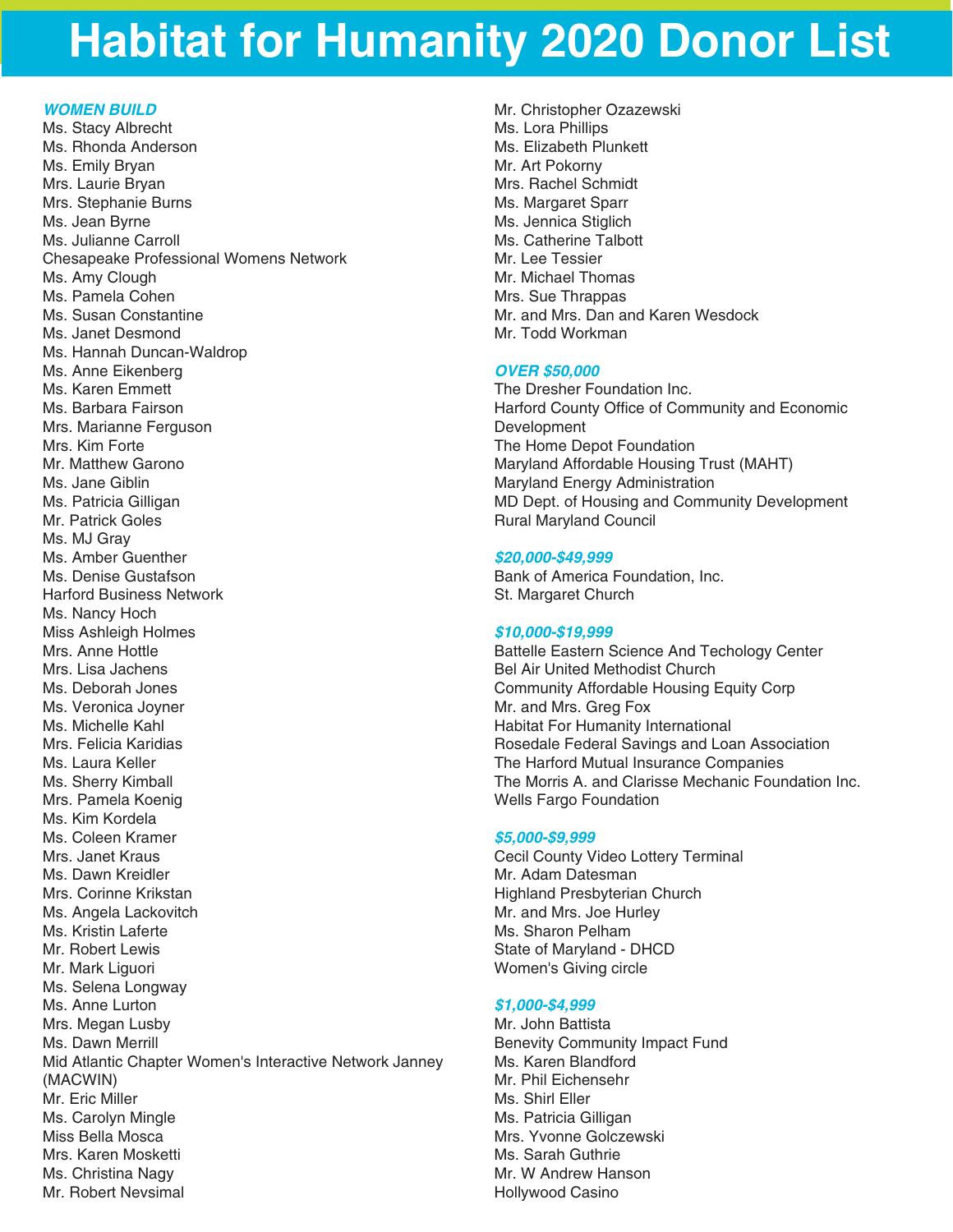## *WOMEN BUILD*

Ms. Stacy Albrecht Ms. Rhonda Anderson Ms. Emily Bryan Mrs. Laurie Bryan Mrs. Stephanie Burns Ms. Jean Byrne Ms. Julianne Carroll Chesapeake Professional Womens Network Ms. Amy Clough Ms. Pamela Cohen Ms. Susan Constantine Ms. Janet Desmond Ms. Hannah Duncan-Waldrop Ms. Anne Eikenberg Ms. Karen Emmett Ms. Barbara Fairson Mrs. Marianne Ferguson Mrs. Kim Forte Mr. Matthew Garono Ms. Jane Giblin Ms. Patricia Gilligan Mr. Patrick Goles Ms. MJ Gray Ms. Amber Guenther Ms. Denise Gustafson Harford Business Network Ms. Nancy Hoch Miss Ashleigh Holmes Mrs. Anne Hottle Mrs. Lisa Jachens Ms. Deborah Jones Ms. Veronica Joyner Ms. Michelle Kahl Mrs. Felicia Karidias Ms. Laura Keller Ms. Sherry Kimball Mrs. Pamela Koenig Ms. Kim Kordela Ms. Coleen Kramer Mrs. Janet Kraus Ms. Dawn Kreidler Mrs. Corinne Krikstan Ms. Angela Lackovitch Ms. Kristin Laferte Mr. Robert Lewis Mr. Mark Liguori Ms. Selena Longway Ms. Anne Lurton Mrs. Megan Lusby Ms. Dawn Merrill Mid Atlantic Chapter Women's Interactive Network Janney (MACWIN) Mr. Eric Miller Ms. Carolyn Mingle Miss Bella Mosca Mrs. Karen Mosketti Ms. Christina Nagy Mr. Robert Nevsimal

Mr. Christopher Ozazewski Ms. Lora Phillips Ms. Elizabeth Plunkett Mr. Art Pokorny Mrs. Rachel Schmidt Ms. Margaret Sparr Ms. Jennica Stiglich Ms. Catherine Talbott Mr. Lee Tessier Mr. Michael Thomas Mrs. Sue Thrappas Mr. and Mrs. Dan and Karen Wesdock Mr. Todd Workman

### *OVER \$50,000*

The Dresher Foundation Inc. Harford County Office of Community and Economic Development The Home Depot Foundation Maryland Affordable Housing Trust (MAHT) Maryland Energy Administration MD Dept. of Housing and Community Development Rural Maryland Council

### *\$20,000-\$49,999*

Bank of America Foundation, Inc. St. Margaret Church

### *\$10,000-\$19,999*

Battelle Eastern Science And Techology Center Bel Air United Methodist Church Community Affordable Housing Equity Corp Mr. and Mrs. Greg Fox Habitat For Humanity International Rosedale Federal Savings and Loan Association The Harford Mutual Insurance Companies The Morris A. and Clarisse Mechanic Foundation Inc. Wells Fargo Foundation

### *\$5,000-\$9,999*

Cecil County Video Lottery Terminal Mr. Adam Datesman Highland Presbyterian Church Mr. and Mrs. Joe Hurley Ms. Sharon Pelham State of Maryland - DHCD Women's Giving circle

### *\$1,000-\$4,999*

Mr. John Battista Benevity Community Impact Fund Ms. Karen Blandford Mr. Phil Eichensehr Ms. Shirl Eller Ms. Patricia Gilligan Mrs. Yvonne Golczewski Ms. Sarah Guthrie Mr. W Andrew Hanson Hollywood Casino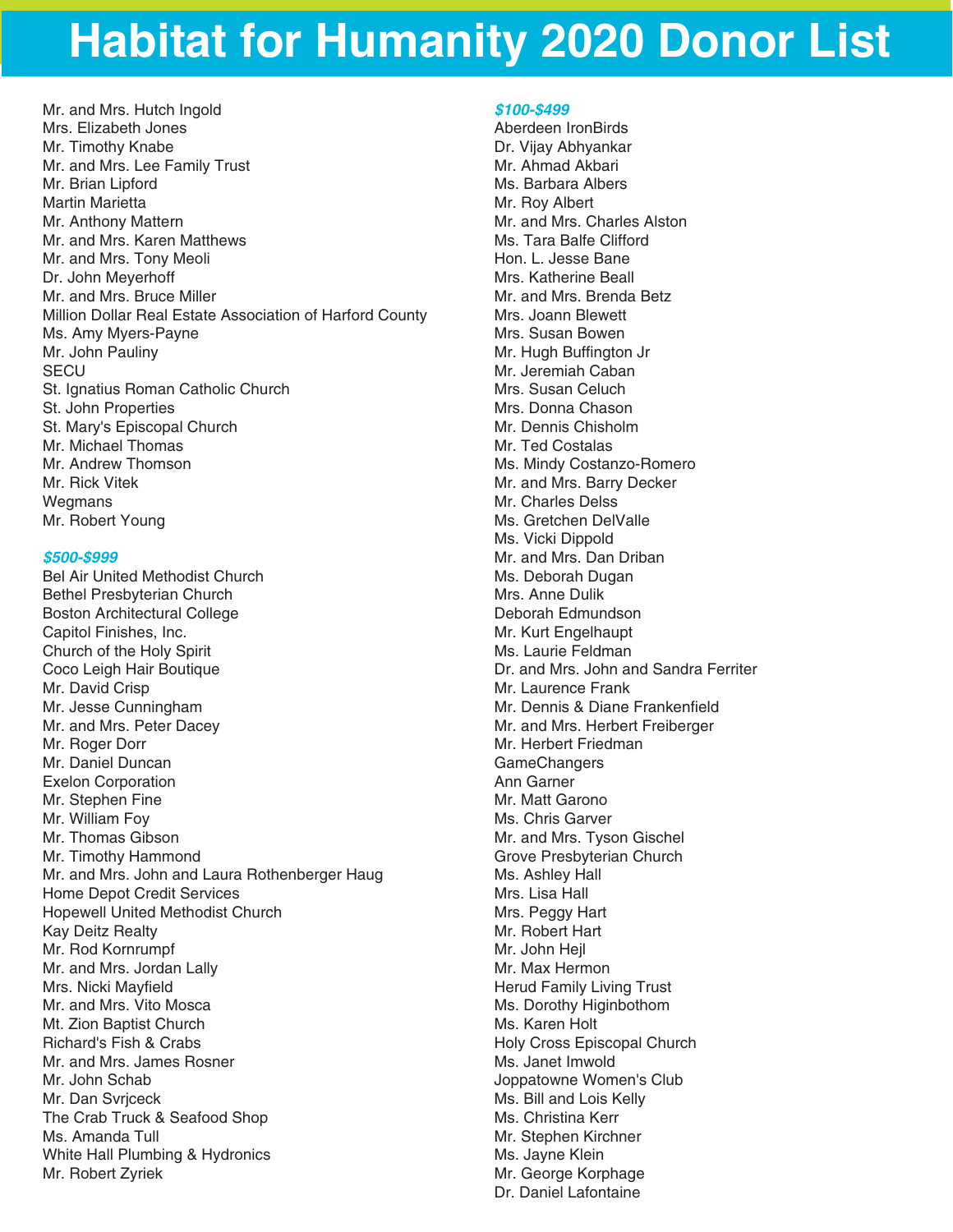Mr. and Mrs. Hutch Ingold Mrs. Elizabeth Jones Mr. Timothy Knabe Mr. and Mrs. Lee Family Trust Mr. Brian Lipford Martin Marietta Mr. Anthony Mattern Mr. and Mrs. Karen Matthews Mr. and Mrs. Tony Meoli Dr. John Meyerhoff Mr. and Mrs. Bruce Miller Million Dollar Real Estate Association of Harford County Ms. Amy Myers-Payne Mr. John Pauliny **SECU** St. Ignatius Roman Catholic Church St. John Properties St. Mary's Episcopal Church Mr. Michael Thomas Mr. Andrew Thomson Mr. Rick Vitek Wegmans Mr. Robert Young

#### *\$500-\$999*

Bel Air United Methodist Church Bethel Presbyterian Church Boston Architectural College Capitol Finishes, Inc. Church of the Holy Spirit Coco Leigh Hair Boutique Mr. David Crisp Mr. Jesse Cunningham Mr. and Mrs. Peter Dacey Mr. Roger Dorr Mr. Daniel Duncan Exelon Corporation Mr. Stephen Fine Mr. William Foy Mr. Thomas Gibson Mr. Timothy Hammond Mr. and Mrs. John and Laura Rothenberger Haug Home Depot Credit Services Hopewell United Methodist Church Kay Deitz Realty Mr. Rod Kornrumpf Mr. and Mrs. Jordan Lally Mrs. Nicki Mayfield Mr. and Mrs. Vito Mosca Mt. Zion Baptist Church Richard's Fish & Crabs Mr. and Mrs. James Rosner Mr. John Schab Mr. Dan Svrjceck The Crab Truck & Seafood Shop Ms. Amanda Tull White Hall Plumbing & Hydronics Mr. Robert Zyriek

#### *\$100-\$499*

Aberdeen IronBirds Dr. Vijay Abhyankar Mr. Ahmad Akbari Ms. Barbara Albers Mr. Roy Albert Mr. and Mrs. Charles Alston Ms. Tara Balfe Clifford Hon. L. Jesse Bane Mrs. Katherine Beall Mr. and Mrs. Brenda Betz Mrs. Joann Blewett Mrs. Susan Bowen Mr. Hugh Buffington Jr Mr. Jeremiah Caban Mrs. Susan Celuch Mrs. Donna Chason Mr. Dennis Chisholm Mr. Ted Costalas Ms. Mindy Costanzo-Romero Mr. and Mrs. Barry Decker Mr. Charles Delss Ms. Gretchen DelValle Ms. Vicki Dippold Mr. and Mrs. Dan Driban Ms. Deborah Dugan Mrs. Anne Dulik Deborah Edmundson Mr. Kurt Engelhaupt Ms. Laurie Feldman Dr. and Mrs. John and Sandra Ferriter Mr. Laurence Frank Mr. Dennis & Diane Frankenfield Mr. and Mrs. Herbert Freiberger Mr. Herbert Friedman **GameChangers** Ann Garner Mr. Matt Garono Ms. Chris Garver Mr. and Mrs. Tyson Gischel Grove Presbyterian Church Ms. Ashley Hall Mrs. Lisa Hall Mrs. Peggy Hart Mr. Robert Hart Mr. John Hejl Mr. Max Hermon Herud Family Living Trust Ms. Dorothy Higinbothom Ms. Karen Holt Holy Cross Episcopal Church Ms. Janet Imwold Joppatowne Women's Club Ms. Bill and Lois Kelly Ms. Christina Kerr Mr. Stephen Kirchner Ms. Jayne Klein Mr. George Korphage Dr. Daniel Lafontaine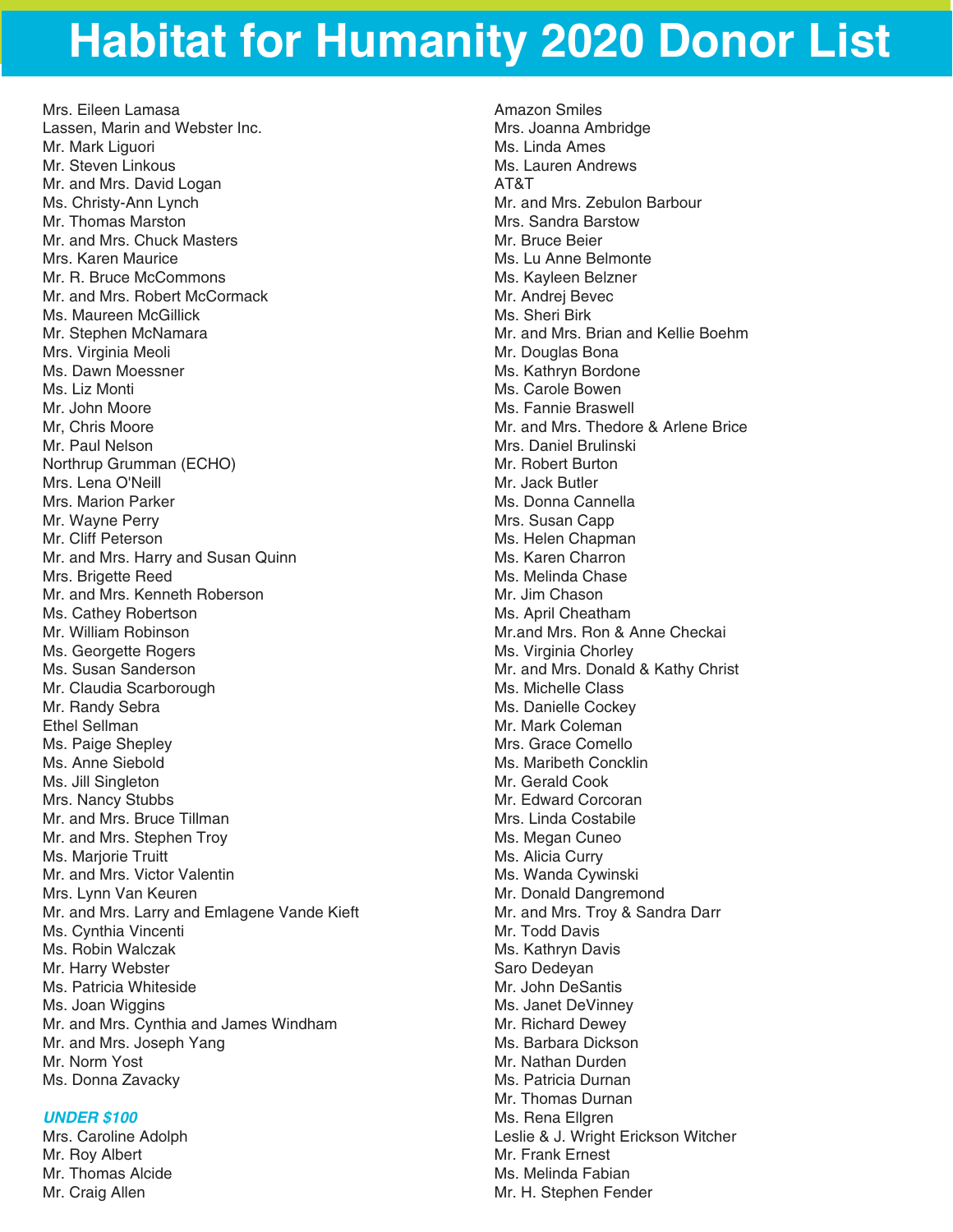Mrs. Eileen Lamasa Lassen, Marin and Webster Inc. Mr. Mark Liguori Mr. Steven Linkous Mr. and Mrs. David Logan Ms. Christy-Ann Lynch Mr. Thomas Marston Mr. and Mrs. Chuck Masters Mrs. Karen Maurice Mr. R. Bruce McCommons Mr. and Mrs. Robert McCormack Ms. Maureen McGillick Mr. Stephen McNamara Mrs. Virginia Meoli Ms. Dawn Moessner Ms. Liz Monti Mr. John Moore Mr, Chris Moore Mr. Paul Nelson Northrup Grumman (ECHO) Mrs. Lena O'Neill Mrs. Marion Parker Mr. Wayne Perry Mr. Cliff Peterson Mr. and Mrs. Harry and Susan Quinn Mrs. Brigette Reed Mr. and Mrs. Kenneth Roberson Ms. Cathey Robertson Mr. William Robinson Ms. Georgette Rogers Ms. Susan Sanderson Mr. Claudia Scarborough Mr. Randy Sebra Ethel Sellman Ms. Paige Shepley Ms. Anne Siebold Ms. Jill Singleton Mrs. Nancy Stubbs Mr. and Mrs. Bruce Tillman Mr. and Mrs. Stephen Troy Ms. Marjorie Truitt Mr. and Mrs. Victor Valentin Mrs. Lynn Van Keuren Mr. and Mrs. Larry and Emlagene Vande Kieft Ms. Cynthia Vincenti Ms. Robin Walczak Mr. Harry Webster Ms. Patricia Whiteside Ms. Joan Wiggins Mr. and Mrs. Cynthia and James Windham Mr. and Mrs. Joseph Yang Mr. Norm Yost Ms. Donna Zavacky

#### *UNDER \$100*

Mrs. Caroline Adolph Mr. Roy Albert Mr. Thomas Alcide Mr. Craig Allen

Amazon Smiles Mrs. Joanna Ambridge Ms. Linda Ames Ms. Lauren Andrews AT&T Mr. and Mrs. Zebulon Barbour Mrs. Sandra Barstow Mr. Bruce Beier Ms. Lu Anne Belmonte Ms. Kayleen Belzner Mr. Andrej Bevec Ms. Sheri Birk Mr. and Mrs. Brian and Kellie Boehm Mr. Douglas Bona Ms. Kathryn Bordone Ms. Carole Bowen Ms. Fannie Braswell Mr. and Mrs. Thedore & Arlene Brice Mrs. Daniel Brulinski Mr. Robert Burton Mr. Jack Butler Ms. Donna Cannella Mrs. Susan Capp Ms. Helen Chapman Ms. Karen Charron Ms. Melinda Chase Mr. Jim Chason Ms. April Cheatham Mr.and Mrs. Ron & Anne Checkai Ms. Virginia Chorley Mr. and Mrs. Donald & Kathy Christ Ms. Michelle Class Ms. Danielle Cockey Mr. Mark Coleman Mrs. Grace Comello Ms. Maribeth Concklin Mr. Gerald Cook Mr. Edward Corcoran Mrs. Linda Costabile Ms. Megan Cuneo Ms. Alicia Curry Ms. Wanda Cywinski Mr. Donald Dangremond Mr. and Mrs. Troy & Sandra Darr Mr. Todd Davis Ms. Kathryn Davis Saro Dedeyan Mr. John DeSantis Ms. Janet DeVinney Mr. Richard Dewey Ms. Barbara Dickson Mr. Nathan Durden Ms. Patricia Durnan Mr. Thomas Durnan Ms. Rena Ellgren Leslie & J. Wright Erickson Witcher Mr. Frank Ernest Ms. Melinda Fabian Mr. H. Stephen Fender